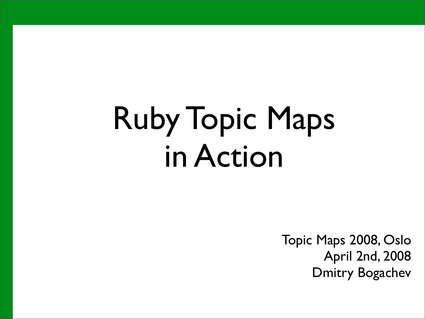# Ruby Topic Maps in Action

Topic Maps 2008, Oslo April 2nd, 2008 Dmitry Bogachev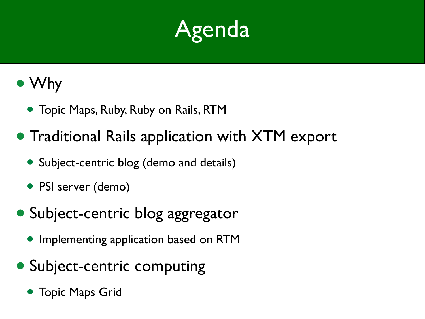

#### • Why

- Topic Maps, Ruby, Ruby on Rails, RTM
- Traditional Rails application with XTM export
	- Subject-centric blog (demo and details)
	- PSI server (demo)
- Subject-centric blog aggregator
	- Implementing application based on RTM
- Subject-centric computing
	- Topic Maps Grid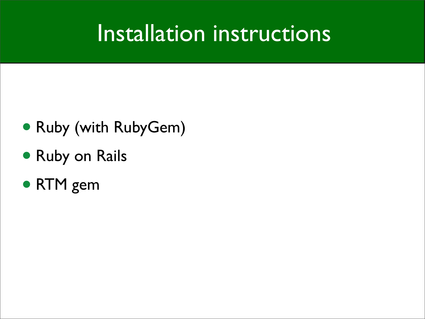#### Installation instructions

- Ruby (with RubyGem)
- Ruby on Rails
- RTM gem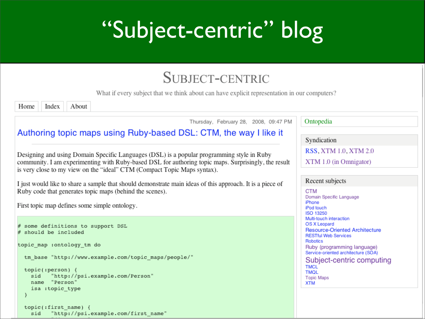#### "Subject-centric" blog

#### SUBJECT-CENTRIC

What if every subject that we think about can have explicit representation in our computers?

Index About Home

Thursday, February 28, 2008, 09:47 PM

Ontopedia

Syndication

RSS, XTM 1.0, XTM 2.0

XTM 1.0 (in Omnigator)

#### Recent subjects

**CTM** Domain Specific Language iPhone iPod touch ISO 13250 Multi-touch interaction OS X Leopard **Resource-Oriented Architecture RESTful Web Services** Robotics Ruby (programming language) Service-oriented architecture (SOA) Subject-centric computing **TMCL TMOL Topic Maps XTM** 

Authoring topic maps using Ruby-based DSL: CTM, the way I like it

Designing and using Domain Specific Languages (DSL) is a popular programming style in Ruby community. I am experimenting with Ruby-based DSL for authoring topic maps. Surprisingly, the result is very close to my view on the "ideal" CTM (Compact Topic Maps syntax).

I just would like to share a sample that should demonstrate main ideas of this approach. It is a piece of Ruby code that generates topic maps (behind the scenes).

First topic map defines some simple ontology.

```
# some definitions to support DSL
# should be included
topic map : ontology tm do
  tm base "http://www.example.com/topic maps/people/"
  topic; person) {
         "http://psi.example.com/Person"
    sid
    name "Person"
    isa :topic type
  \mathcal{Y}topic(:first name) {
    sid
         "http://psi.example.com/first name"
```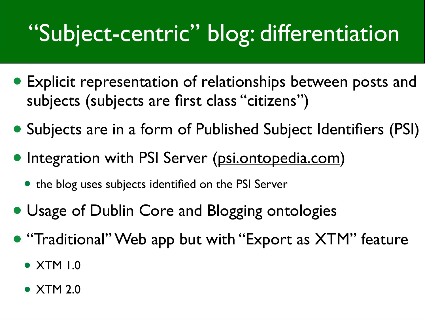#### "Subject-centric" blog: differentiation

- Explicit representation of relationships between posts and subjects (subjects are first class "citizens")
- Subjects are in a form of Published Subject Identifiers (PSI)
- Integration with PSI Server [\(psi.ontopedia.com\)](http://psi.ontopedia.net/)
	- the blog uses subjects identified on the PSI Server
- Usage of Dublin Core and Blogging ontologies
- "Traditional" Web app but with "Export as XTM" feature
	- XTM 1.0
	- XTM 2.0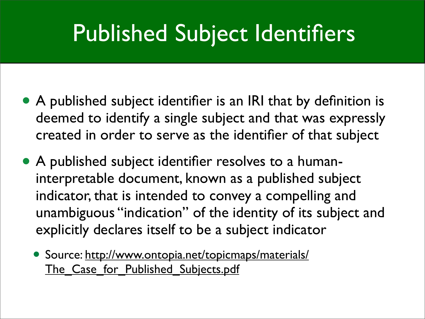#### Published Subject Identifiers

- A published subject identifier is an IRI that by definition is deemed to identify a single subject and that was expressly created in order to serve as the identifier of that subject
- A published subject identifier resolves to a humaninterpretable document, known as a published subject indicator, that is intended to convey a compelling and unambiguous "indication" of the identity of its subject and explicitly declares itself to be a subject indicator
	- Source: [http://www.ontopia.net/topicmaps/materials/](http://www.ontopia.net/topicmaps/materials/The_Case_for_Published_Subjects.pdf) The Case for Published Subjects.pdf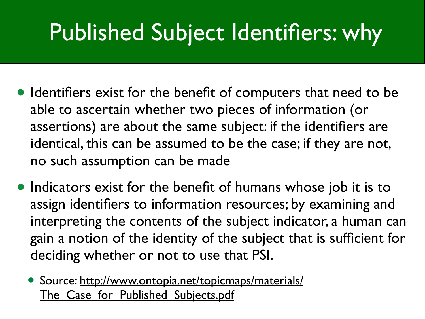#### Published Subject Identifiers: why

- Identifiers exist for the benefit of computers that need to be able to ascertain whether two pieces of information (or assertions) are about the same subject: if the identifiers are identical, this can be assumed to be the case; if they are not, no such assumption can be made
- Indicators exist for the benefit of humans whose job it is to assign identifiers to information resources; by examining and interpreting the contents of the subject indicator, a human can gain a notion of the identity of the subject that is sufficient for deciding whether or not to use that PSI.
	- Source: [http://www.ontopia.net/topicmaps/materials/](http://www.ontopia.net/topicmaps/materials/The_Case_for_Published_Subjects.pdf) The Case for Published Subjects.pdf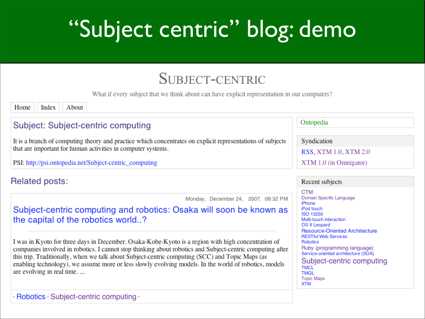### "Subject centric" blog: demo

#### SUBJECT-CENTRIC

What if every subject that we think about can have explicit representation in our computers?

Index About Home

#### Subject: Subject-centric computing

It is a branch of computing theory and practice which concentrates on explicit representations of subjects that are important for human activities in computer systems.

PSI: http://psi.ontopedia.net/Subject-centric computing

#### Related posts:

Monday, December 24, 2007, 08:32 PM

#### Subject-centric computing and robotics: Osaka will soon be known as the capital of the robotics world..?

I was in Kyoto for three days in December. Osaka-Kobe-Kyoto is a region with high concentration of companies involved in robotics. I cannot stop thinking about robotics and Subject-centric computing after this trip. Traditionally, when we talk about Subject-centric computing (SCC) and Topic Maps (as enabling technology), we assume more or less slowly evolving models. In the world of robotics, models are evolving in real time....

#### Ontopedia

Syndication

RSS, XTM 1.0, XTM 2.0

XTM 1.0 (in Omnigator)

#### Recent subjects

**CTM** Domain Specific Language iPhone iPod touch ISO 13250 Multi-touch interaction OS X Leopard **Resource-Oriented Architecture RESTful Web Services Robotics** Ruby (programming language) Service-oriented architecture (SOA) Subject-centric computing **TMCL TMOL Topic Maps XTM**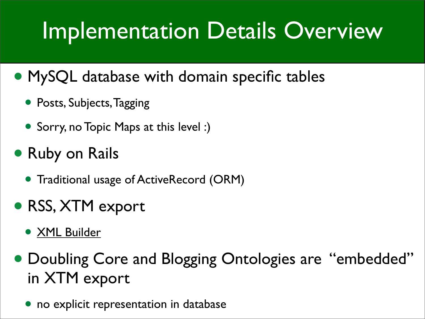### Implementation Details Overview

#### • MySQL database with domain specific tables

- Posts, Subjects, Tagging
- Sorry, no Topic Maps at this level :)

#### • Ruby on Rails

• Traditional usage of ActiveRecord (ORM)

#### • RSS, XTM export

- [XML Builder](http://builder.rubyforge.org/)
- Doubling Core and Blogging Ontologies are "embedded" in XTM export
	- no explicit representation in database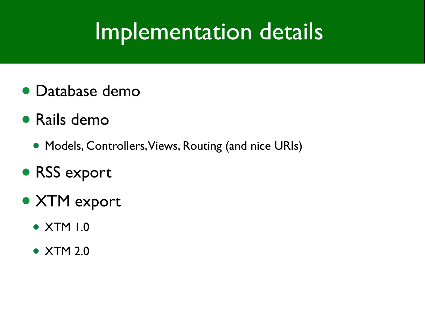#### Implementation details

- Database demo
- Rails demo
	- Models, Controllers, Views, Routing (and nice URIs)
- RSS export
- XTM export
	- XTM 1.0
	- XTM 2.0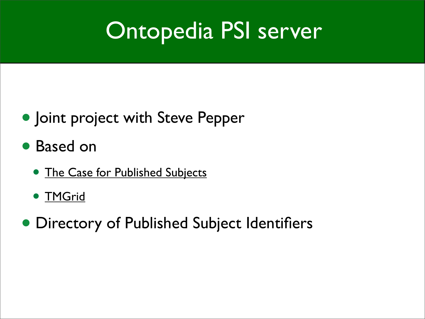#### Ontopedia PSI server

- Joint project with Steve Pepper
- Based on
	- [The Case for Published Subjects](http://www.ontopia.net/topicmaps/materials/The_Case_for_Published_Subjects.pdf)
	- TMGrid
- Directory of Published Subject Identifiers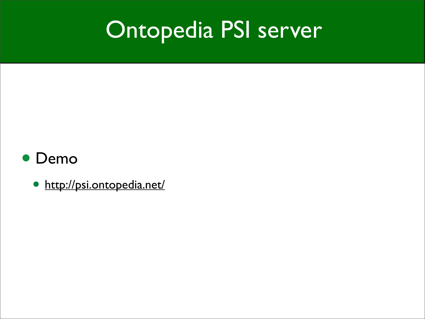#### Ontopedia PSI server

#### • Demo

• <http://psi.ontopedia.net/>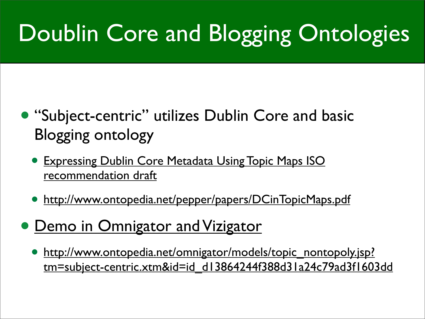## Doublin Core and Blogging Ontologies

- "Subject-centric" utilizes Dublin Core and basic Blogging ontology
	- **[Expressing Dublin Core Metadata Using Topic Maps](http://www.jtc1sc34.org/repository/0884.htm) ISO** recommendation draft
	- [http://www.ontopedia.net/pepper/papers/DCinTopicMaps.pdf](http://Steve%20Papper)
- Demo in Omnigator and Vizigator
	- [http://www.ontopedia.net/omnigator/models/topic\\_nontopoly.jsp?](http://www.ontopedia.net/omnigator/models/topic_nontopoly.jsp?tm=subject-centric.xtm&id=id_d13864244f388d31a24c79ad3f1603dd) [tm=subject-centric.xtm&id=id\\_d13864244f388d31a24c79ad3f1603dd](http://www.ontopedia.net/omnigator/models/topic_nontopoly.jsp?tm=subject-centric.xtm&id=id_d13864244f388d31a24c79ad3f1603dd)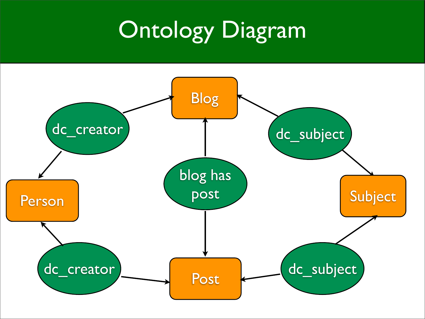#### Ontology Diagram

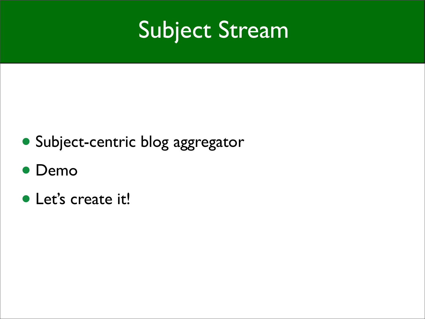#### Subject Stream

- Subject-centric blog aggregator
- Demo
- Let's create it!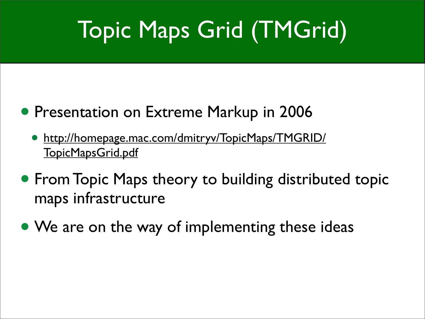## Topic Maps Grid (TMGrid)

- Presentation on Extreme Markup in 2006
	- [http://homepage.mac.com/dmitryv/TopicMaps/TMGRID/](http://homepage.mac.com/dmitryv/TopicMaps/TMGRID/TopicMapsGrid.pdf) [TopicMapsGrid.pdf](http://homepage.mac.com/dmitryv/TopicMaps/TMGRID/TopicMapsGrid.pdf)
- **From Topic Maps theory to building distributed topic** maps infrastructure
- We are on the way of implementing these ideas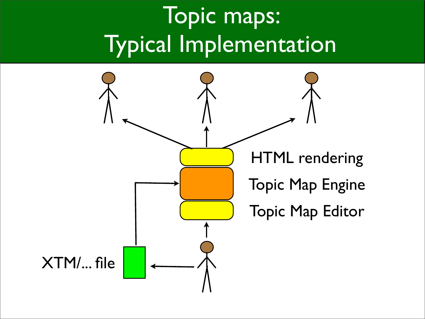### Topic maps: Typical Implementation

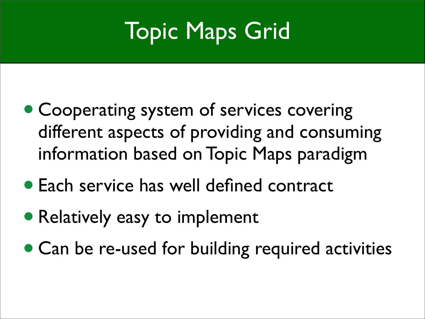### Topic Maps Grid

- Cooperating system of services covering different aspects of providing and consuming information based on Topic Maps paradigm
- Each service has well defined contract
- Relatively easy to implement
- Can be re-used for building required activities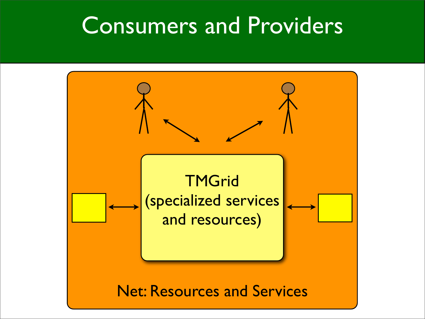#### Consumers and Providers

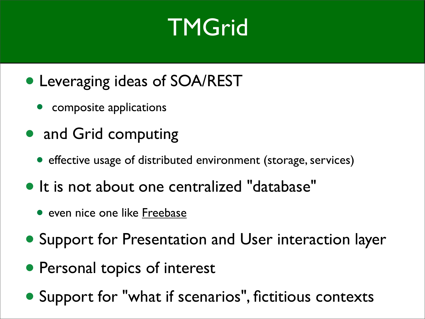#### **TMGrid**

- Leveraging ideas of SOA/REST
	- composite applications
- and Grid computing
	- effective usage of distributed environment (storage, services)
- It is not about one centralized "database"
	- even nice one like [Freebase](http://www.freebase.com/)
- Support for Presentation and User interaction layer
- Personal topics of interest
- Support for "what if scenarios", fictitious contexts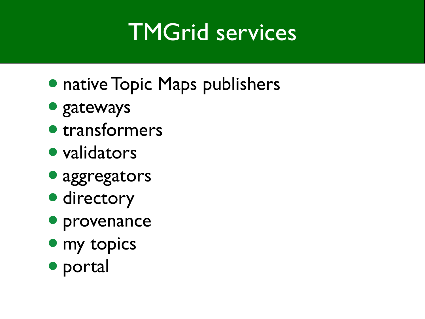#### TMGrid services

- native Topic Maps publishers
- gateways
- transformers
- validators
- aggregators
- directory
- provenance
- my topics
- portal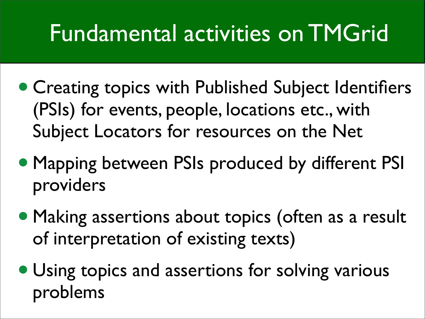#### Fundamental activities on TMGrid

- Creating topics with Published Subject Identifiers (PSIs) for events, people, locations etc., with Subject Locators for resources on the Net
- Mapping between PSIs produced by different PSI providers
- Making assertions about topics (often as a result of interpretation of existing texts)
- Using topics and assertions for solving various problems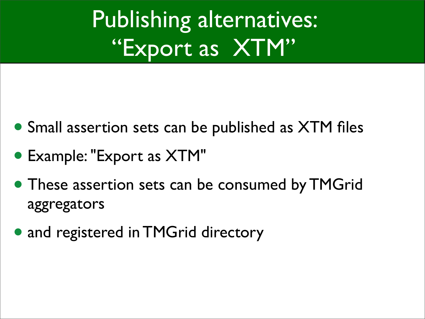Publishing alternatives: "Export as XTM"

- Small assertion sets can be published as XTM files
- Example: "Export as XTM"
- These assertion sets can be consumed by TMGrid aggregators
- and registered in TMGrid directory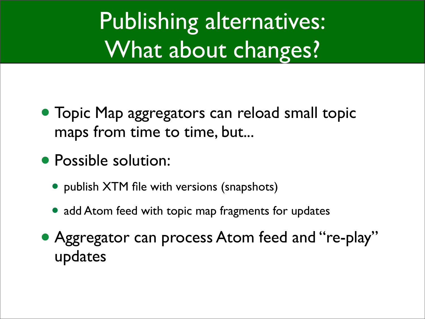Publishing alternatives: What about changes?

- Topic Map aggregators can reload small topic maps from time to time, but...
- Possible solution:
	- publish XTM file with versions (snapshots)
	- add Atom feed with topic map fragments for updates
- Aggregator can process Atom feed and "re-play" updates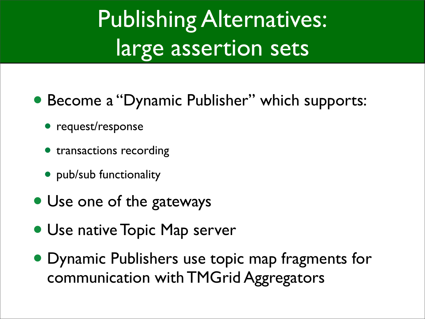### Publishing Alternatives: large assertion sets

- Become a "Dynamic Publisher" which supports:
	- request/response
	- transactions recording
	- pub/sub functionality
- Use one of the gateways
- Use native Topic Map server
- Dynamic Publishers use topic map fragments for communication with TMGrid Aggregators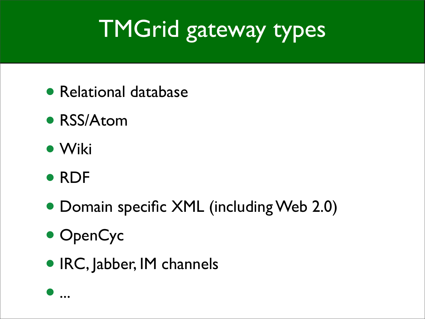## TMGrid gateway types

- Relational database
- RSS/Atom
- Wiki
- RDF
- Domain specific XML (including Web 2.0)
- OpenCyc
- IRC, Jabber, IM channels

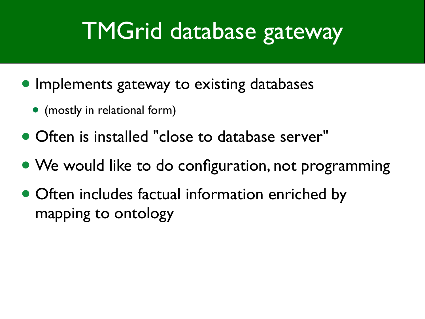#### TMGrid database gateway

- Implements gateway to existing databases
	- (mostly in relational form)
- Often is installed "close to database server"
- We would like to do configuration, not programming
- Often includes factual information enriched by mapping to ontology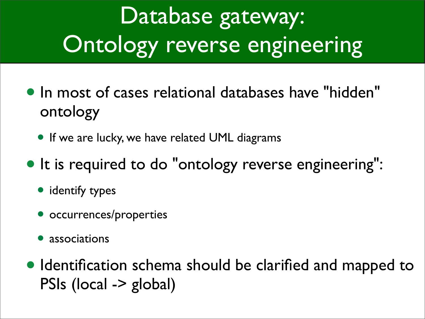## Database gateway: Ontology reverse engineering

- In most of cases relational databases have "hidden" ontology
	- If we are lucky, we have related UML diagrams
- It is required to do "ontology reverse engineering":
	- identify types
	- occurrences/properties
	- associations
- •Identification schema should be clarified and mapped to PSIs (local -> global)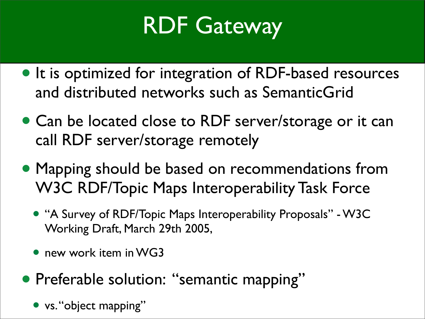#### RDF Gateway

- It is optimized for integration of RDF-based resources and distributed networks such as SemanticGrid
- Can be located close to RDF server/storage or it can call RDF server/storage remotely
- Mapping should be based on recommendations from W3C RDF/Topic Maps Interoperability Task Force
	- "A Survey of RDF/Topic Maps Interoperability Proposals" W3C Working Draft, March 29th 2005,
	- new work item in WG3
- Preferable solution: "semantic mapping"
	- vs. "object mapping"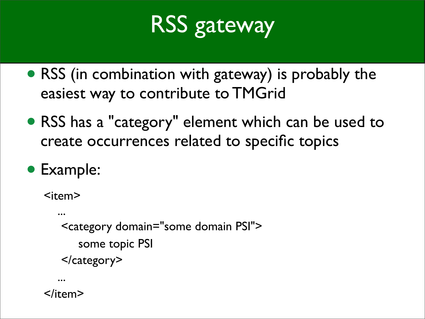### RSS gateway

- RSS (in combination with gateway) is probably the easiest way to contribute to TMGrid
- RSS has a "category" element which can be used to create occurrences related to specific topics
- Example:

```
<item>
 ... 
    <category domain="some domain PSI">
       some topic PSI
    </category>
 ...
```
</item>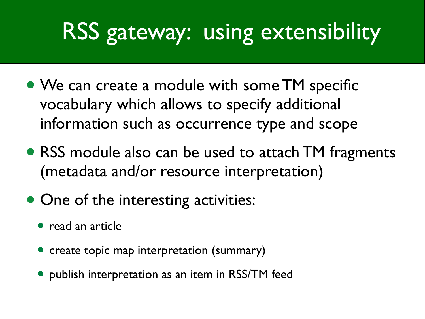### RSS gateway: using extensibility

- We can create a module with some TM specific vocabulary which allows to specify additional information such as occurrence type and scope
- RSS module also can be used to attach TM fragments (metadata and/or resource interpretation)
- One of the interesting activities:
	- read an article
	- create topic map interpretation (summary)
	- publish interpretation as an item in RSS/TM feed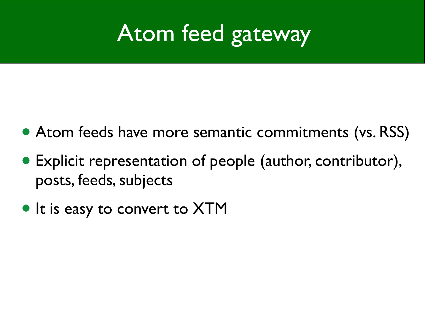#### Atom feed gateway

- Atom feeds have more semantic commitments (vs. RSS)
- Explicit representation of people (author, contributor), posts, feeds, subjects
- It is easy to convert to XTM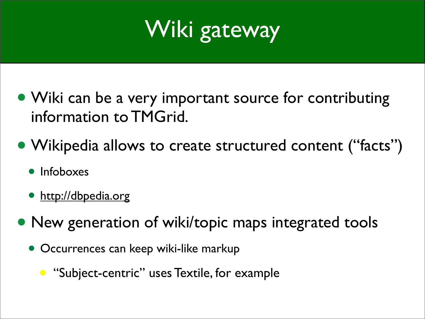

- Wiki can be a very important source for contributing information to TMGrid.
- Wikipedia allows to create structured content ("facts")
	- Infoboxes
	- <http://dbpedia.org>
- New generation of wiki/topic maps integrated tools
	- Occurrences can keep wiki-like markup
		- "Subject-centric" uses Textile, for example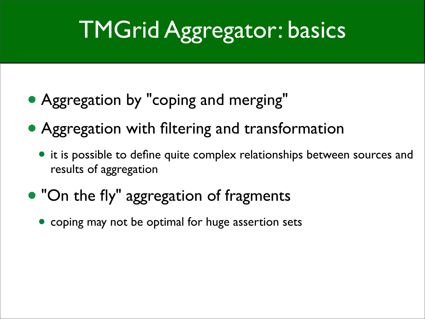## TMGrid Aggregator: basics

- Aggregation by "coping and merging"
- Aggregation with filtering and transformation
	- it is possible to define quite complex relationships between sources and results of aggregation
- "On the fly" aggregation of fragments
	- coping may not be optimal for huge assertion sets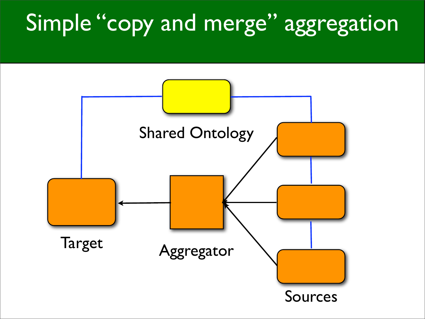#### Simple "copy and merge" aggregation

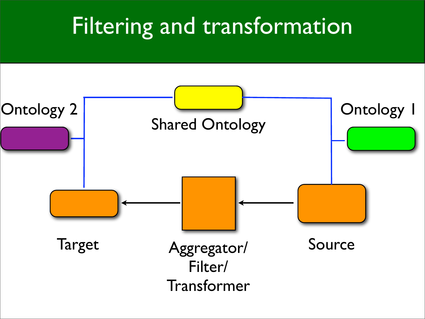#### Filtering and transformation

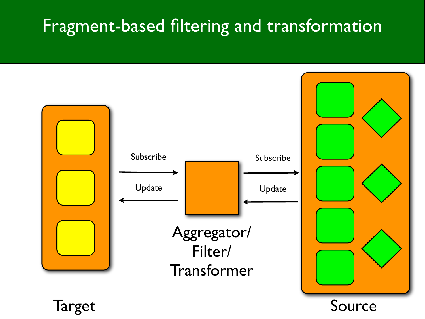#### Fragment-based filtering and transformation

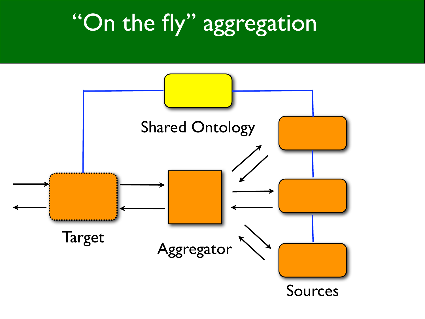### "On the fly" aggregation

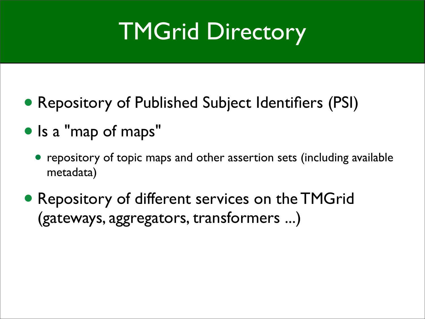### TMGrid Directory

- Repository of Published Subject Identifiers (PSI)
- Is a "map of maps"
	- repository of topic maps and other assertion sets (including available metadata)
- Repository of different services on the TMGrid (gateways, aggregators, transformers ...)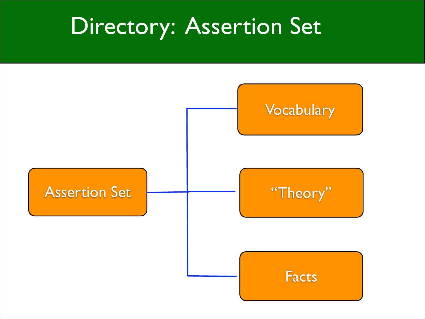#### Directory: Assertion Set

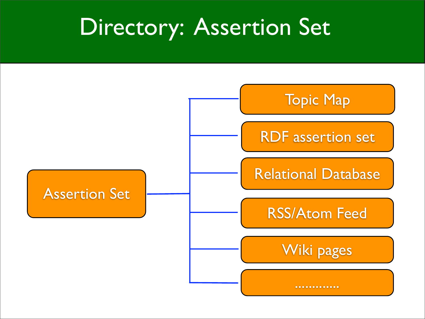#### Directory: Assertion Set

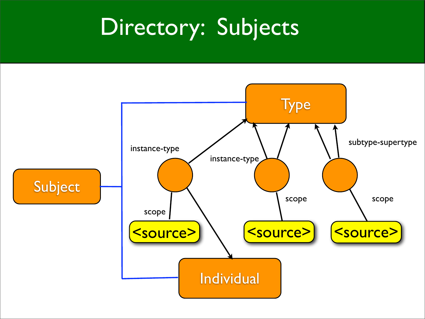#### Directory: Subjects

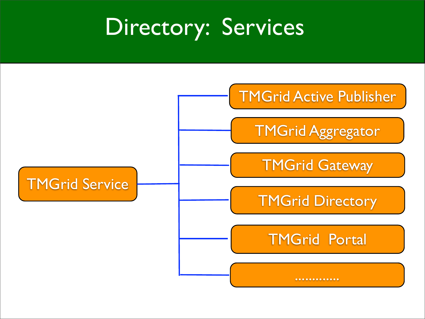#### Directory: Services

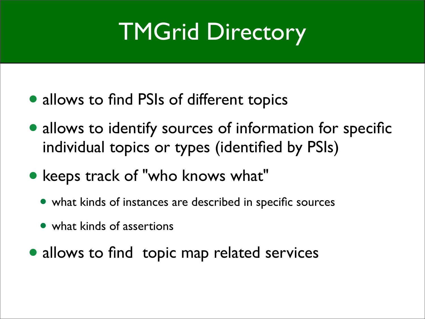#### TMGrid Directory

- allows to find PSIs of different topics
- allows to identify sources of information for specific individual topics or types (identified by PSIs)
- keeps track of "who knows what"
	- what kinds of instances are described in specific sources
	- what kinds of assertions
- allows to find topic map related services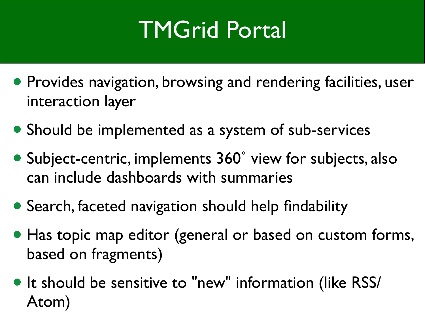### TMGrid Portal

- Provides navigation, browsing and rendering facilities, user interaction layer
- Should be implemented as a system of sub-services
- Subject-centric, implements 360˚ view for subjects, also can include dashboards with summaries
- Search, faceted navigation should help findability
- Has topic map editor (general or based on custom forms, based on fragments)
- It should be sensitive to "new" information (like RSS/ Atom)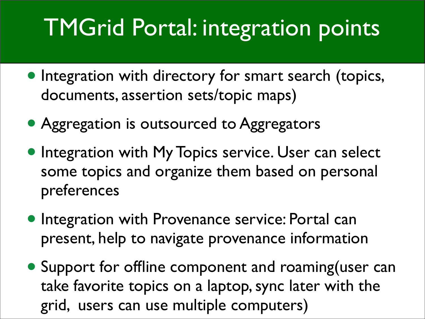#### TMGrid Portal: integration points

- Integration with directory for smart search (topics, documents, assertion sets/topic maps)
- Aggregation is outsourced to Aggregators
- **Integration with My Topics service. User can select** some topics and organize them based on personal preferences
- Integration with Provenance service: Portal can present, help to navigate provenance information
- Support for offline component and roaming (user can take favorite topics on a laptop, sync later with the grid, users can use multiple computers)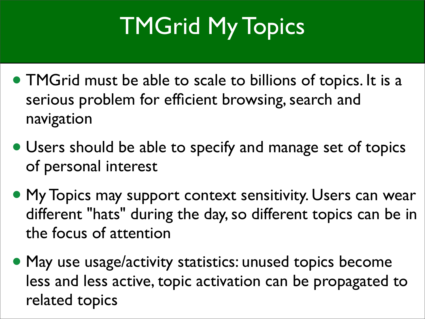## TMGrid My Topics

- TMGrid must be able to scale to billions of topics. It is a serious problem for efficient browsing, search and navigation
- Users should be able to specify and manage set of topics of personal interest
- My Topics may support context sensitivity. Users can wear different "hats" during the day, so different topics can be in the focus of attention
- May use usage/activity statistics: unused topics become less and less active, topic activation can be propagated to related topics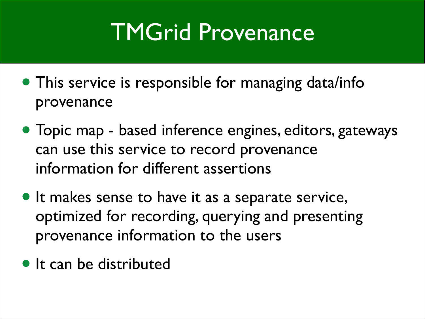#### TMGrid Provenance

- This service is responsible for managing data/info provenance
- Topic map based inference engines, editors, gateways can use this service to record provenance information for different assertions
- It makes sense to have it as a separate service, optimized for recording, querying and presenting provenance information to the users
- It can be distributed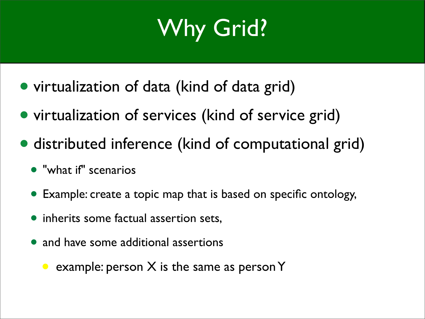## Why Grid?

- virtualization of data (kind of data grid)
- virtualization of services (kind of service grid)
- distributed inference (kind of computational grid)
	- "what if" scenarios
	- Example: create a topic map that is based on specific ontology,
	- inherits some factual assertion sets,
	- and have some additional assertions
		- example: person  $X$  is the same as person  $Y$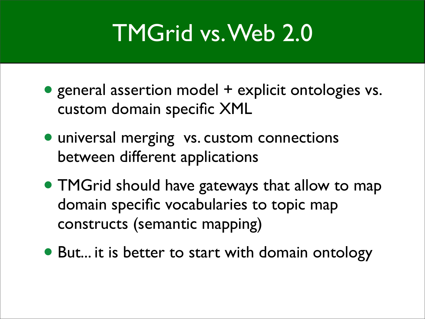#### TMGrid vs. Web 2.0

- general assertion model + explicit ontologies vs. custom domain specific XML
- universal merging vs. custom connections between different applications
- TMGrid should have gateways that allow to map domain specific vocabularies to topic map constructs (semantic mapping)
- But... it is better to start with domain ontology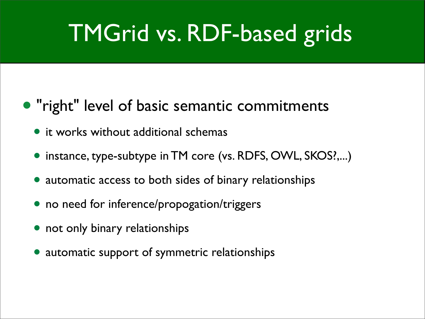#### TMGrid vs. RDF-based grids

#### • "right" level of basic semantic commitments

- **•** it works without additional schemas
- instance, type-subtype in TM core (vs. RDFS, OWL, SKOS?,...)
- automatic access to both sides of binary relationships
- no need for inference/propogation/triggers
- not only binary relationships
- automatic support of symmetric relationships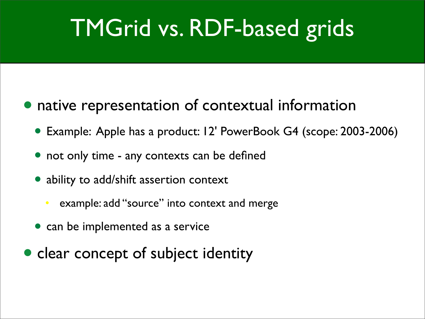### TMGrid vs. RDF-based grids

- native representation of contextual information
	- Example: Apple has a product: 12' PowerBook G4 (scope: 2003-2006)
	- not only time any contexts can be defined
	- ability to add/shift assertion context
		- example: add "source" into context and merge
	- can be implemented as a service
- clear concept of subject identity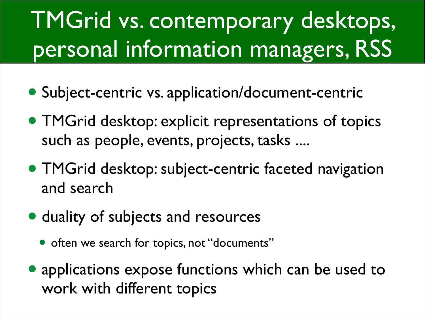## TMGrid vs. contemporary desktops, personal information managers, RSS

- Subject-centric vs. application/document-centric
- TMGrid desktop: explicit representations of topics such as people, events, projects, tasks ....
- TMGrid desktop: subject-centric faceted navigation and search
- duality of subjects and resources
	- often we search for topics, not "documents"
- applications expose functions which can be used to work with different topics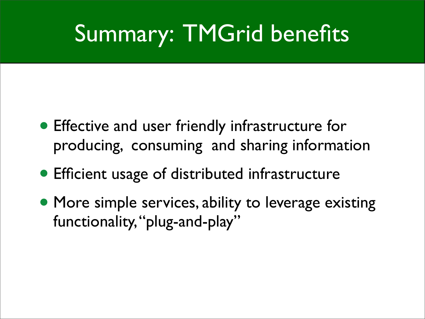#### Summary: TMGrid benefits

- Effective and user friendly infrastructure for producing, consuming and sharing information
- Efficient usage of distributed infrastructure
- More simple services, ability to leverage existing functionality, "plug-and-play"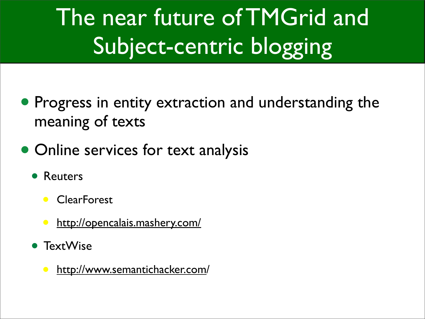## The near future of TMGrid and Subject-centric blogging

- Progress in entity extraction and understanding the meaning of texts
- Online services for text analysis
	- Reuters
		- ClearForest
		- [http://opencalais.mashery.com/](http://opencalais.mashery.com)
	- TextWise
		- [http://www.semantichacker.com/](http://www.semantichacker.com)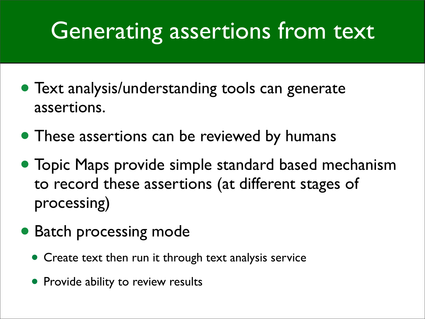#### Generating assertions from text

- Text analysis/understanding tools can generate assertions.
- These assertions can be reviewed by humans
- Topic Maps provide simple standard based mechanism to record these assertions (at different stages of processing)
- Batch processing mode
	- Create text then run it through text analysis service
	- Provide ability to review results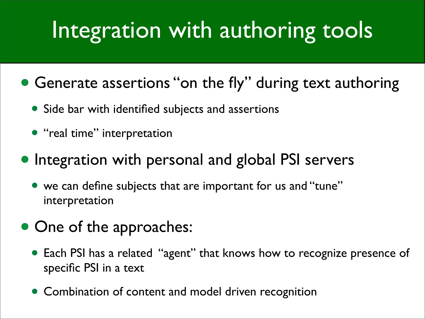#### Integration with authoring tools

- Generate assertions "on the fly" during text authoring
	- Side bar with identified subjects and assertions
	- "real time" interpretation
- Integration with personal and global PSI servers
	- we can define subjects that are important for us and "tune" interpretation
- One of the approaches:
	- Each PSI has a related "agent" that knows how to recognize presence of specific PSI in a text
	- Combination of content and model driven recognition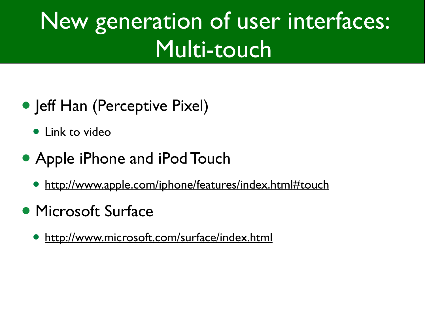### New generation of user interfaces: Multi-touch

- Jeff Han (Perceptive Pixel)
	- **[Link to video](http://link.brightcove.com/services/link/bcpid713271701/bclid713073346/bctid709364416)**
- Apple iPhone and iPod Touch
	- [http://www.apple.com/iphone/features/index.html#touch](http://www.apple.com/iphone/features/index.html%23touch)
- Microsoft Surface
	- <http://www.microsoft.com/surface/index.html>